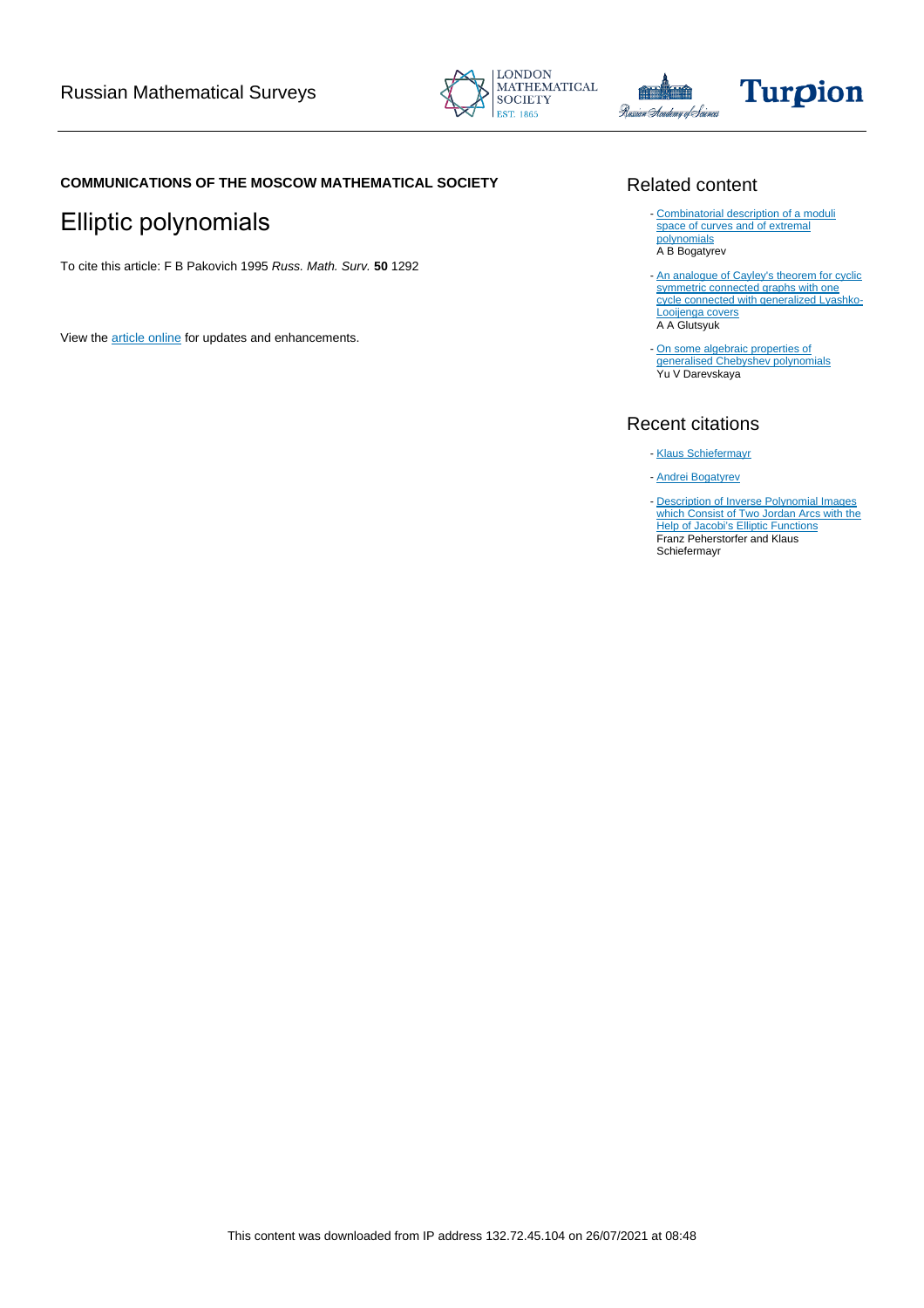





### **COMMUNICATIONS OF THE MOSCOW MATHEMATICAL SOCIETY**

# Elliptic polynomials

To cite this article: F B Pakovich 1995 Russ. Math. Surv. **50** 1292

View the [article online](https://doi.org/10.1070/RM1995v050n06ABEH002671) for updates and enhancements.

### Related content

- [Combinatorial description of a moduli](/article/10.1070/SM2003v194n10ABEH000772) [space of curves and of extremal](/article/10.1070/SM2003v194n10ABEH000772) [polynomials](/article/10.1070/SM2003v194n10ABEH000772) A B Bogatyrev
- [An analogue of Cayley's theorem for cyclic](/article/10.1070/RM1993v048n02ABEH001023) [symmetric connected graphs with one](/article/10.1070/RM1993v048n02ABEH001023) [cycle connected with generalized Lyashko-](/article/10.1070/RM1993v048n02ABEH001023)[Looijenga covers](/article/10.1070/RM1993v048n02ABEH001023) A A Glutsyuk
- [On some algebraic properties of](/article/10.1070/RM2003v058n01ABEH000598) [generalised Chebyshev polynomials](/article/10.1070/RM2003v058n01ABEH000598) Yu V Darevskaya

## Recent citations

- [Klaus Schiefermayr](http://dx.doi.org/10.1007/978-1-4614-0772-0_17)
- [Andrei Bogatyrev](http://dx.doi.org/10.1007/978-3-642-25634-9_7)
- **[Description of Inverse Polynomial Images](http://dx.doi.org/10.1007/BF03321075)** [which Consist of Two Jordan Arcs with the](http://dx.doi.org/10.1007/BF03321075) **[Help of Jacobi's Elliptic Functions](http://dx.doi.org/10.1007/BF03321075)** Franz Peherstorfer and Klaus Schiefermayr -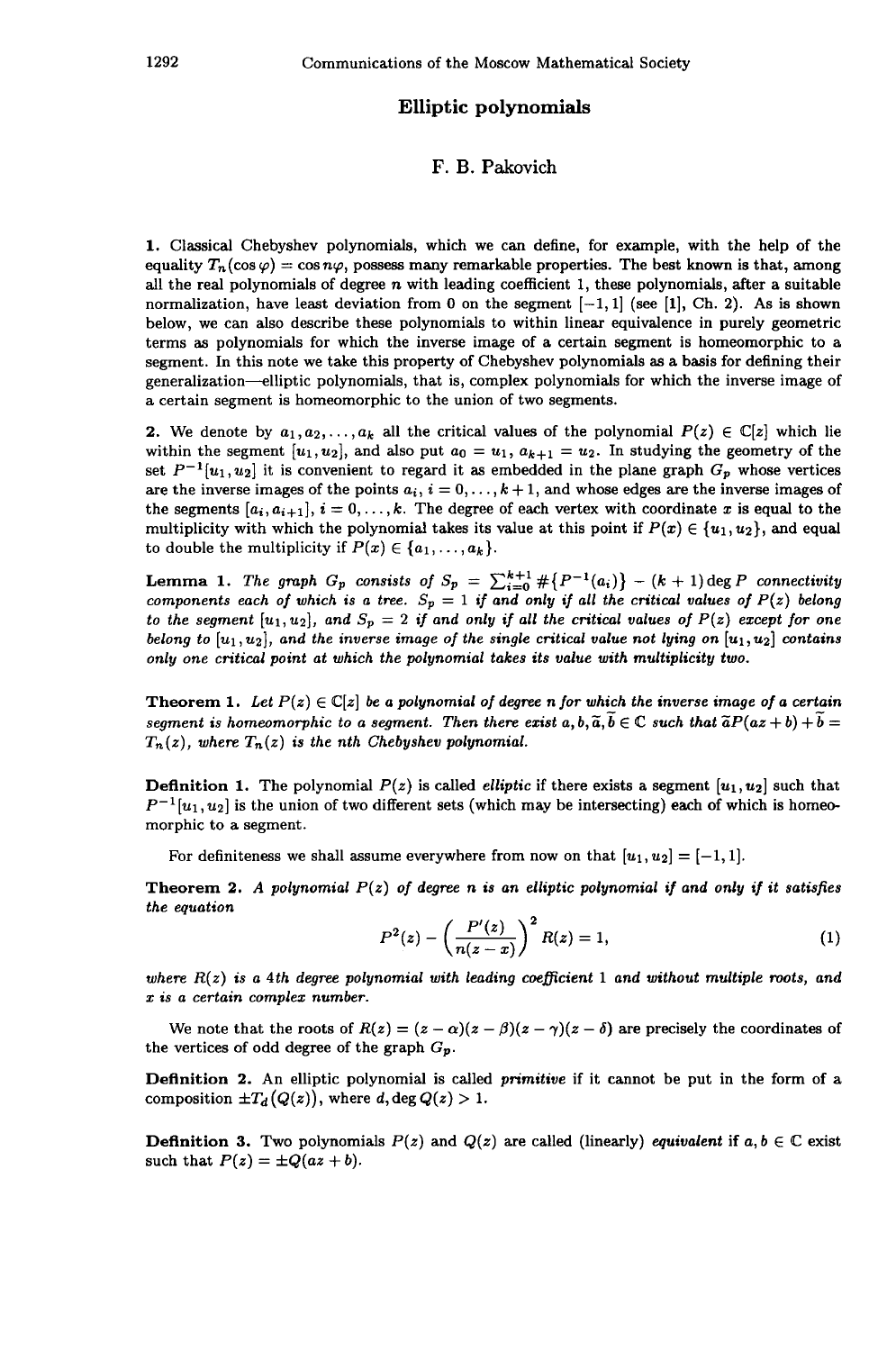#### **Elliptic polynomials**

#### F. B. Pakovich

1. Classical Chebyshev polynomials, which we can define, for example, with the help of the equality  $T_n(\cos\varphi)=\cos n\varphi,$  possess many remarkable properties. The best known is that, among all the real polynomials of degree  $n$  with leading coefficient 1, these polynomials, after a suitable normalization, have least deviation from 0 on the segment  $[-1, 1]$  (see [1], Ch. 2). As is shown below, we can also describe these polynomials to within linear equivalence in purely geometric terms as polynomials for which the inverse image of a certain segment is homeomorphic to a segment. In this note we take this property of Chebyshev polynomials as a basis for defining their generalization—elliptic polynomials, that is, complex polynomials for which the inverse image of a certain segment is homeomorphic to the union of two segments.

2. We denote by  $a_1, a_2, \ldots, a_k$  all the critical values of the polynomial  $P(z) \in \mathbb{C}[z]$  which lie within the segment  $[u_1, u_2]$ , and also put  $a_0 = u_1$ ,  $a_{k+1} = u_2$ . In studying the geometry of the set  $P^{-1}[u_1, u_2]$  it is convenient to regard it as embedded in the plane graph  $G_p$  whose vertices are the inverse images of the points  $a_i$ ,  $i = 0, \ldots, k + 1$ , and whose edges are the inverse images of the segments  $[a_i, a_{i+1}], i = 0, \ldots, k$ . The degree of each vertex with coordinate *x* is equal to the multiplicity with which the polynomial takes its value at this point if  $P(x) \in \{u_1, u_2\}$ , and equal to double the multiplicity if  $P(x) \in \{a_1, \ldots, a_k\}.$ 

Lemma 1. The graph  $G_p$  consists of  $S_p = \sum_{i=0}^{k+1} \# \{P^{-1}(a_i)\} - (k+1) \deg P$  connectivity *components each of which is a tree.*  $S_p = 1$  if and only if all the critical values of  $P(z)$  belong *to the segment*  $[u_1,u_2]$ *, and*  $S_p = 2$  *if and only if all the critical values of*  $P(z)$  *except for one belong to* [u<sub>1</sub>, u<sub>2</sub>], and the inverse image of the single critical value not lying on [u<sub>1</sub>, u<sub>2</sub>] contains *only one critical point at which the polynomial takes its value with multiplicity two.*

**Theorem 1.** Let  $P(z) \in \mathbb{C}[z]$  be a polynomial of degree n for which the inverse image of a certain *segment is homeomorphic to a segment. Then there exist*  $a, b, \tilde{a}, \tilde{b} \in \mathbb{C}$  *such that*  $\tilde{a}P(a z + b) + \tilde{b} =$ *Tn (z), where T<sup>n</sup> (z) is the nth Chebyshev polynomial.*

**Definition 1.** The polynomial  $P(z)$  is called *elliptic* if there exists a segment  $[u_1, u_2]$  such that  $P^{-1}[u_1, u_2]$  is the union of two different sets (which may be intersecting) each of which is homeo morphic to a segment.

For definiteness we shall assume everywhere from now on that  $[u_1, u_2] = [-1, 1]$ .

**Theorem 2.** *A polynomial P(z) of degree η is an elliptic polynomial if and only if it satisfies the equation*

$$
P^{2}(z) - \left(\frac{P'(z)}{n(z-x)}\right)^{2} R(z) = 1,
$$
 (1)

*where R(z) is a 4th degree polynomial with leading coefficient* 1 *and without multiple roots, and is a certain complex number.*

We note that the roots of  $R(z) = (z - \alpha)(z - \beta)(z - \gamma)(z - \delta)$  are precisely the coordinates of the vertices of odd degree of the graph *G<sup>p</sup> .*

**Definition** 2. An elliptic polynomial is called *primitive* if it cannot be put in the form of a composition  $\pm T_d(Q(z))$ , where d, deg  $Q(z) > 1$ .

**Definition 3.** Two polynomials  $P(z)$  and  $Q(z)$  are called (linearly) *equivalent* if  $a, b \in \mathbb{C}$  exist such that  $P(z) = \pm Q(az + b)$ .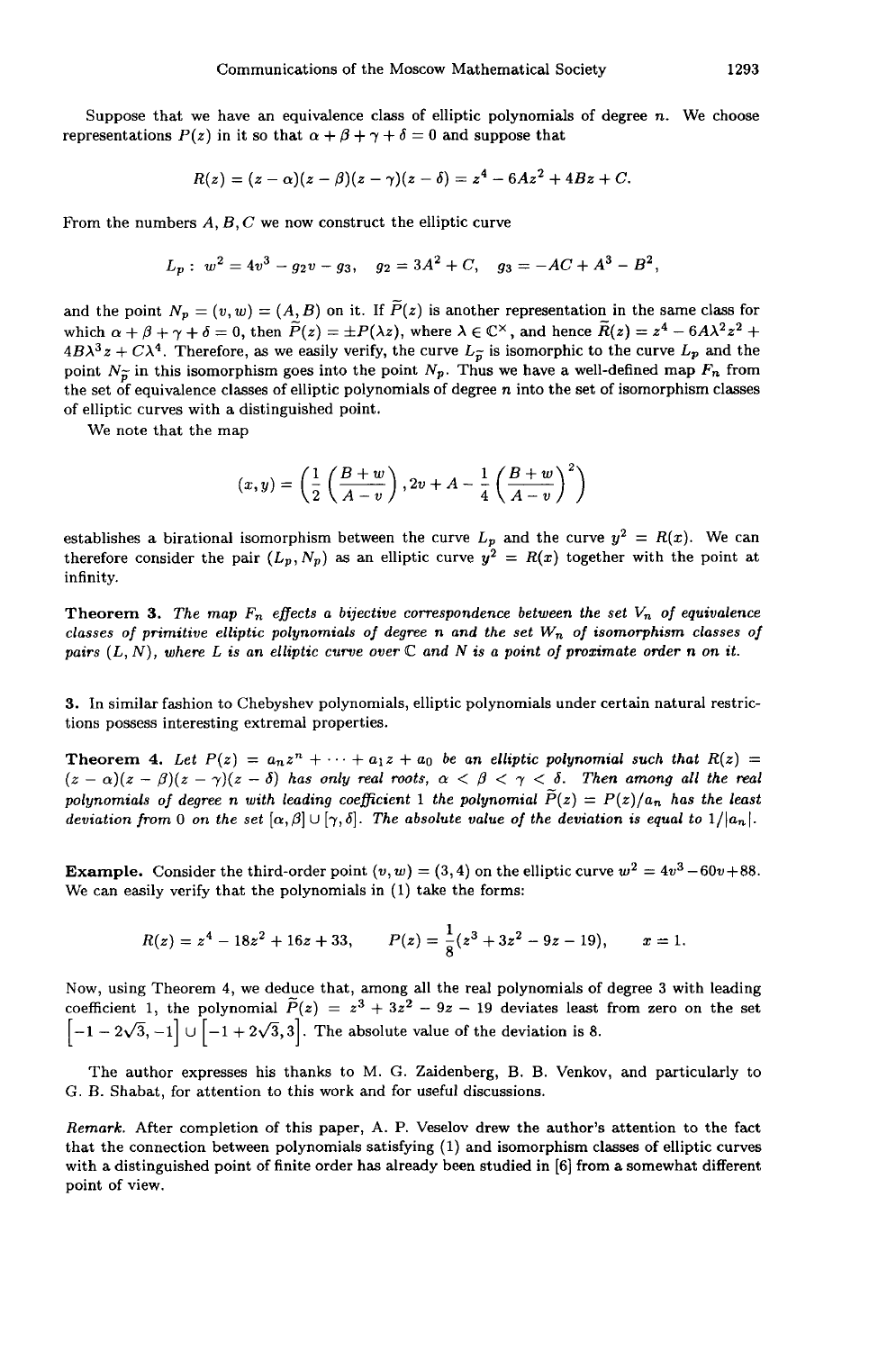Suppose that we have an equivalence class of elliptic polynomials of degree n. We choose representations  $P(z)$  in it so that  $\alpha + \beta + \gamma + \delta = 0$  and suppose that

$$
R(z) = (z - \alpha)(z - \beta)(z - \gamma)(z - \delta) = z^4 - 6Az^2 + 4Bz + C.
$$

From the numbers *A, B, C* we now construct the elliptic curve

$$
L_p: w^2 = 4v^3 - g_2v - g_3, \quad g_2 = 3A^2 + C, \quad g_3 = -AC + A^3 - B^2,
$$

and the point  $N_p = (v, w) = (A, B)$  on it. If  $P(z)$  is another representation in the same class for which  $\alpha + \beta + \gamma + \delta = 0$ , then  $\widetilde{P}(z) = \pm P(\lambda z)$ , where  $\lambda \in \mathbb{C}^{\times}$ , and hence  $\widetilde{R}(z) = z^4 - 6A\lambda^2 z^2 +$  $4B\lambda^3 z + C\lambda^4$ . Therefore, as we easily verify, the curve  $L_{\tilde{p}}$  is isomorphic to the curve  $L_p$  and the point  $N_{\widetilde{\mathcal{D}}}$  in this isomorphism goes into the point  $N_p$ . Thus we have a well-defined map  $F_n$  from the set of equivalence classes of elliptic polynomials of degree *η* into the set of isomorphism classes of elliptic curves with a distinguished point.

We note that the map

$$
(x,y) = \left(\frac{1}{2}\left(\frac{B+w}{A-v}\right), 2v+A-\frac{1}{4}\left(\frac{B+w}{A-v}\right)^2\right)
$$

establishes a birational isomorphism between the curve  $L_p$  and the curve  $y^2 = R(x)$ . We can therefore consider the pair  $(L_p, N_p)$  as an elliptic curve  $y^2 = R(x)$  together with the point at infinity.

**Theorem 3.** The map  $F_n$  effects a bijective correspondence between the set  $V_n$  of equivalence *classes of primitive elliptic polynomials of degree* η *and the set W<sup>n</sup> of isomorphism classes of pairs (L, N), where L is an elliptic curve over* C *and Ν is a point of proximate order η on it.*

3. In similar fashion to Chebyshev polynomials, elliptic polynomials under certain natural restric tions possess interesting extremal properties.

**Theorem 4.** Let  $P(z) = a_n z^n + \cdots + a_1 z + a_0$  be an elliptic polynomial such that  $R(z) =$  $(z - \alpha)(z - \beta)(z - \gamma)(z - \delta)$  has only real roots,  $\alpha < \beta < \gamma < \delta$ . Then among all the real  $polynomials$  *of degree n with leading coefficient*  $1$  *the polynomial*  $\widetilde{P}(z) = P(z)/a_n$  *has the least deviation from* 0 *on the set*  $[\alpha, \beta] \cup [\gamma, \delta]$ *. The absolute value of the deviation is equal to*  $1/|a_n|$ *.* 

**Example.** Consider the third-order point  $(v, w) = (3, 4)$  on the elliptic curve  $w^2 = 4v^3 - 60v + 88$ . We can easily verify that the polynomials in (1) take the forms:

$$
R(z) = z4 - 18z2 + 16z + 33, \qquad P(z) = \frac{1}{8}(z3 + 3z2 - 9z - 19), \qquad x = 1.
$$

Now, using Theorem 4, we deduce that, among all the real polynomials of degree 3 with leading coefficient 1, the polynomial  $P(z) = z^3 + 3z^2 - 9z - 19$  deviates least from zero on the set  $\left[-1 - 2\sqrt{3}, -1\right] \cup \left[-1 + 2\sqrt{3}, 3\right]$ . The absolute value of the deviation is 8.

The author expresses his thanks to M. G. Zaidenberg, Β. Β. Venkov, and particularly to G. B. Shabat, for attention to this work and for useful discussions.

*Remark.* After completion of this paper, A. P. Veselov drew the author's attention to the fact that the connection between polynomials satisfying (1) and isomorphism classes of elliptic curves with a distinguished point of finite order has already been studied in [6] from a somewhat different point of view.